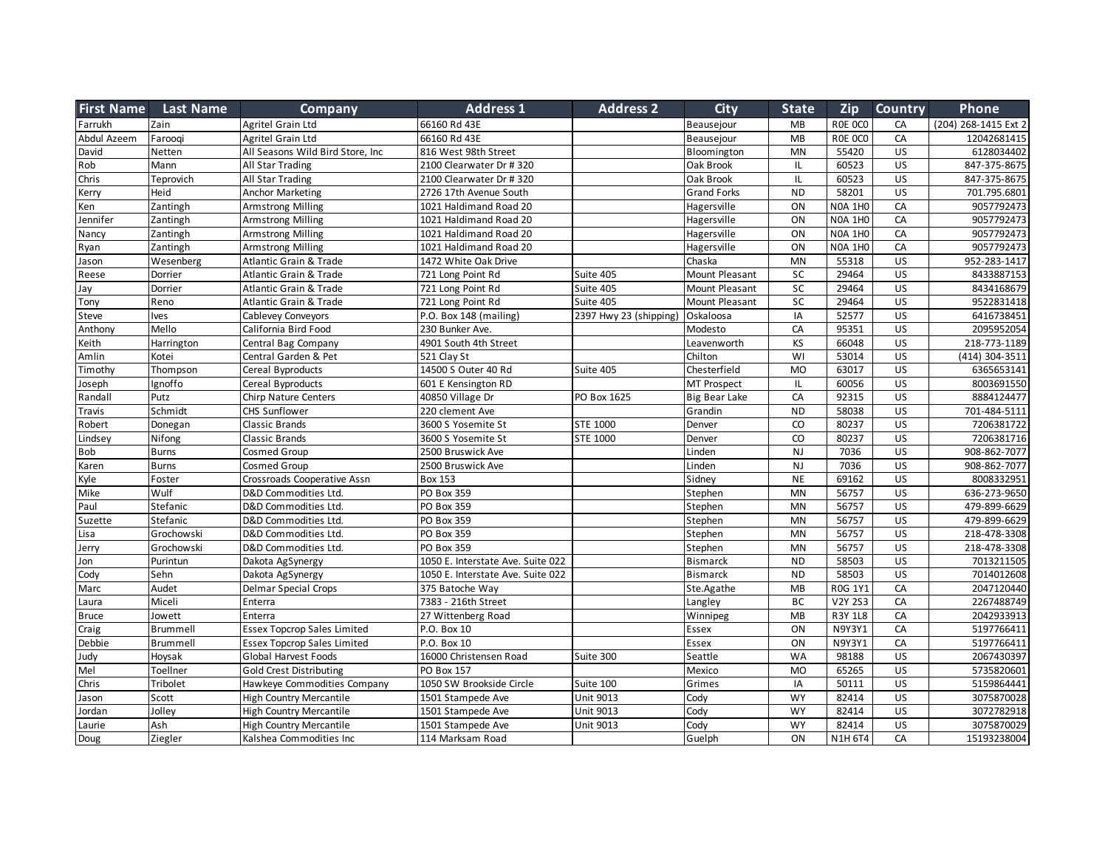| <b>First Name</b> | <b>Last Name</b> | <b>Company</b>                     | <b>Address 1</b>                  | <b>Address 2</b>       | City                 | <b>State</b> | Zip            | Country         | Phone                |
|-------------------|------------------|------------------------------------|-----------------------------------|------------------------|----------------------|--------------|----------------|-----------------|----------------------|
| Farrukh           | Zain             | Agritel Grain Ltd                  | 66160 Rd 43E                      |                        | Beausejour           | MB           | ROE OCO        | CA              | (204) 268-1415 Ext 2 |
| Abdul Azeem       | Farooqi          | Agritel Grain Ltd                  | 66160 Rd 43E                      |                        | Beausejour           | MB           | ROE OCO        | CA              | 12042681415          |
| David             | Netten           | All Seasons Wild Bird Store, Inc.  | 816 West 98th Street              |                        | Bloomington          | <b>MN</b>    | 55420          | US              | 6128034402           |
| Rob               | Mann             | All Star Trading                   | 2100 Clearwater Dr # 320          |                        | Oak Brook            | IL           | 60523          | US              | 847-375-8675         |
| Chris             | Teprovich        | All Star Trading                   | 2100 Clearwater Dr # 320          |                        | Oak Brook            | IL           | 60523          | US              | 847-375-8675         |
| Kerry             | Heid             | <b>Anchor Marketing</b>            | 2726 17th Avenue South            |                        | <b>Grand Forks</b>   | <b>ND</b>    | 58201          | US              | 701.795.6801         |
| Ken               | Zantingh         | <b>Armstrong Milling</b>           | 1021 Haldimand Road 20            |                        | Hagersville          | ON           | <b>NOA 1HO</b> | CA              | 9057792473           |
| Jennifer          | Zantingh         | <b>Armstrong Milling</b>           | 1021 Haldimand Road 20            |                        | Hagersville          | ON           | <b>N0A 1H0</b> | CA              | 9057792473           |
| Nancy             | Zantingh         | Armstrong Milling                  | 1021 Haldimand Road 20            |                        | Hagersville          | ON           | <b>N0A 1H0</b> | CA              | 9057792473           |
| Ryan              | Zantingh         | Armstrong Milling                  | 1021 Haldimand Road 20            |                        | Hagersville          | ON           | <b>NOA 1HO</b> | ${\sf CA}$      | 9057792473           |
| Jason             | Wesenberg        | <b>Atlantic Grain &amp; Trade</b>  | 1472 White Oak Drive              |                        | Chaska               | MN           | 55318          | US              | 952-283-1417         |
| Reese             | Dorrier          | Atlantic Grain & Trade             | 721 Long Point Rd                 | Suite 405              | Mount Pleasant       | SC           | 29464          | US              | 8433887153           |
| Jay               | Dorrier          | Atlantic Grain & Trade             | 721 Long Point Rd                 | Suite 405              | Mount Pleasant       | SC           | 29464          | $\overline{US}$ | 8434168679           |
| Tony              | Reno             | <b>Atlantic Grain &amp; Trade</b>  | 721 Long Point Rd                 | Suite 405              | Mount Pleasant       | SC           | 29464          | US              | 9522831418           |
| Steve             | Ives             | Cablevey Conveyors                 | P.O. Box 148 (mailing)            | 2397 Hwy 23 (shipping) | Oskaloosa            | IA           | 52577          | US              | 6416738451           |
| Anthony           | Mello            | California Bird Food               | 230 Bunker Ave.                   |                        | Modesto              | CA           | 95351          | $\overline{US}$ | 2095952054           |
| Keith             | Harrington       | Central Bag Company                | 4901 South 4th Street             |                        | Leavenworth          | KS           | 66048          | US              | 218-773-1189         |
| Amlin             | Kotei            | Central Garden & Pet               | 521 Clay St                       |                        | Chilton              | WI           | 53014          | US              | (414) 304-3511       |
| Timothy           | Thompson         | Cereal Byproducts                  | 14500 S Outer 40 Rd               | Suite 405              | Chesterfield         | <b>MO</b>    | 63017          | US              | 6365653141           |
| Joseph            | Ignoffo          | Cereal Byproducts                  | 601 E Kensington RD               |                        | <b>MT Prospect</b>   | IL           | 60056          | US              | 8003691550           |
| Randall           | Putz             | <b>Chirp Nature Centers</b>        | 40850 Village Dr                  | PO Box 1625            | <b>Big Bear Lake</b> | CA           | 92315          | US              | 8884124477           |
| Travis            | Schmidt          | CHS Sunflower                      | 220 clement Ave                   |                        | Grandin              | <b>ND</b>    | 58038          | US              | 701-484-5111         |
| Robert            | Donegan          | <b>Classic Brands</b>              | 3600 S Yosemite St                | STE 1000               | Denver               | CO           | 80237          | US              | 7206381722           |
| Lindsey           | Nifong           | <b>Classic Brands</b>              | 3600 S Yosemite St                | STE 1000               | Denver               | CO           | 80237          | US              | 7206381716           |
| Bob               | <b>Burns</b>     | Cosmed Group                       | 2500 Bruswick Ave                 |                        | Linden               | NJ           | 7036           | US              | 908-862-7077         |
| Karen             | <b>Burns</b>     | Cosmed Group                       | 2500 Bruswick Ave                 |                        | Linden               | NJ           | 7036           | US              | 908-862-7077         |
| Kyle              | Foster           | Crossroads Cooperative Assn        | <b>Box 153</b>                    |                        | Sidney               | <b>NE</b>    | 69162          | US              | 8008332951           |
| Mike              | Wulf             | D&D Commodities Ltd.               | PO Box 359                        |                        | Stephen              | MN           | 56757          | US              | 636-273-9650         |
| Paul              | Stefanic         | D&D Commodities Ltd.               | PO Box 359                        |                        | Stephen              | <b>MN</b>    | 56757          | US              | 479-899-6629         |
| Suzette           | Stefanic         | D&D Commodities Ltd.               | <b>PO Box 359</b>                 |                        | Stephen              | MN           | 56757          | US              | 479-899-6629         |
| Lisa              | Grochowski       | D&D Commodities Ltd.               | PO Box 359                        |                        | Stephen              | MN           | 56757          | US              | 218-478-3308         |
| Jerry             | Grochowski       | D&D Commodities Ltd.               | PO Box 359                        |                        | Stephen              | <b>MN</b>    | 56757          | US              | 218-478-3308         |
| Jon               | Purintun         | Dakota AgSynergy                   | 1050 E. Interstate Ave. Suite 022 |                        | <b>Bismarck</b>      | <b>ND</b>    | 58503          | US              | 7013211505           |
| Cody              | Sehn             | Dakota AgSynergy                   | 1050 E. Interstate Ave. Suite 022 |                        | <b>Bismarck</b>      | <b>ND</b>    | 58503          | US              | 7014012608           |
| Marc              | Audet            | Delmar Special Crops               | 375 Batoche Way                   |                        | Ste.Agathe           | MB           | R0G 1Y1        | CA              | 2047120440           |
| Laura             | Miceli           | Enterra                            | 7383 - 216th Street               |                        | Langley              | BC           | V2Y 2S3        | CA              | 2267488749           |
| <b>Bruce</b>      | Jowett           | Enterra                            | 27 Wittenberg Road                |                        | Winnipeg             | MB           | R3Y 1L8        | CA              | 2042933913           |
| Craig             | Brummell         | <b>Essex Topcrop Sales Limited</b> | P.O. Box 10                       |                        | Essex                | ON           | N9Y3Y1         | CA              | 5197766411           |
| Debbie            | Brummell         | <b>Essex Topcrop Sales Limited</b> | P.O. Box 10                       |                        | Essex                | ON           | N9Y3Y1         | CA              | 5197766411           |
| Judy              | Hoysak           | Global Harvest Foods               | 16000 Christensen Road            | Suite 300              | Seattle              | WA           | 98188          | US              | 2067430397           |
| Mel               | Toellner         | Gold Crest Distributing            | PO Box 157                        |                        | Mexico               | <b>MO</b>    | 65265          | US              | 5735820601           |
| Chris             | Tribolet         | Hawkeye Commodities Company        | 1050 SW Brookside Circle          | Suite 100              | Grimes               | IA           | 50111          | US              | 5159864441           |
| Jason             | Scott            | <b>High Country Mercantile</b>     | 1501 Stampede Ave                 | <b>Unit 9013</b>       | Cody                 | <b>WY</b>    | 82414          | US              | 3075870028           |
| Jordan            | Jolley           | <b>High Country Mercantile</b>     | 1501 Stampede Ave                 | Unit 9013              | Cody                 | <b>WY</b>    | 82414          | US              | 3072782918           |
| Laurie            | Ash              | <b>High Country Mercantile</b>     | 1501 Stampede Ave                 | Unit 9013              | Cody                 | <b>WY</b>    | 82414          | US              | 3075870029           |
| Doug              | Ziegler          | Kalshea Commodities Inc            | 114 Marksam Road                  |                        | Guelph               | ON           | <b>N1H 6T4</b> | CA              | 15193238004          |